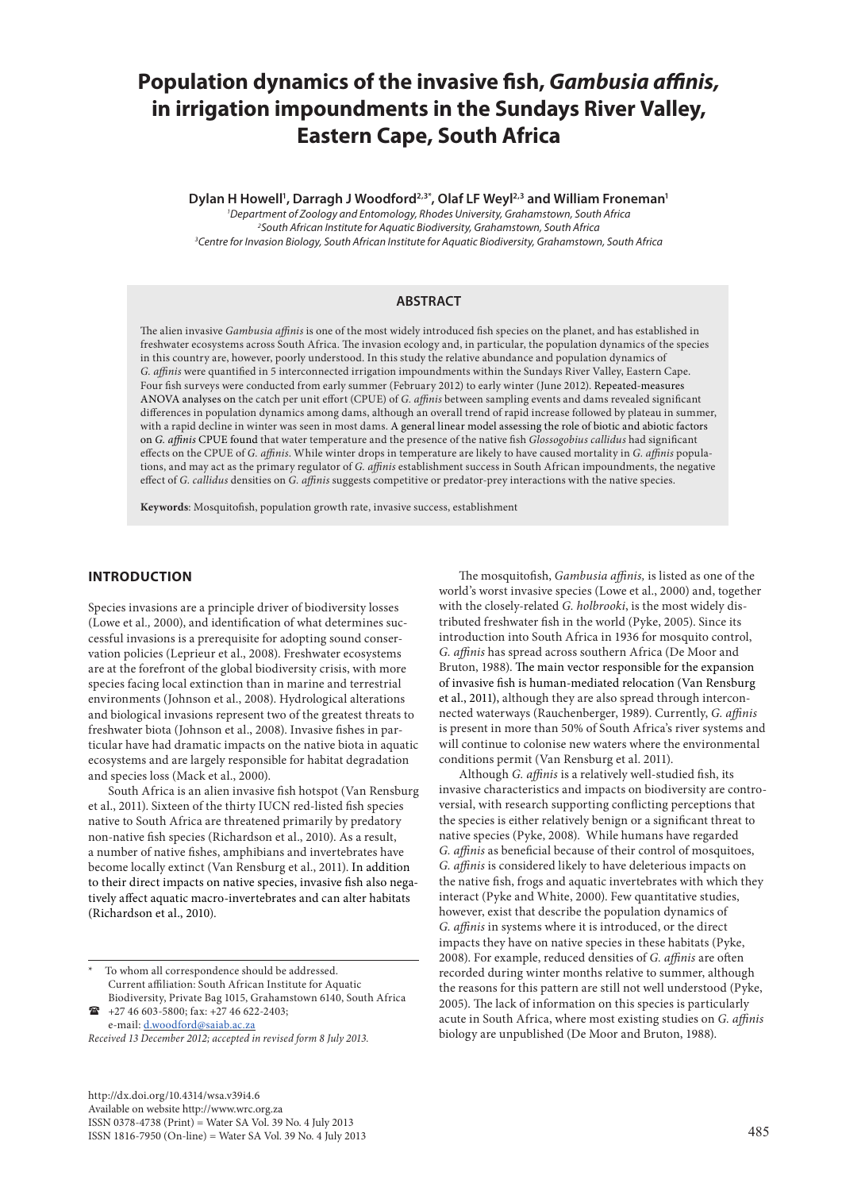# **Population dynamics of the invasive fish,** *Gambusia affinis,*  **in irrigation impoundments in the Sundays River Valley, Eastern Cape, South Africa**

Dylan H Howell<sup>1</sup>, Darragh J Woodford<sup>2,3\*</sup>, Olaf LF Weyl<sup>2,3</sup> and William Froneman<sup>1</sup>

*1 Department of Zoology and Entomology, Rhodes University, Grahamstown, South Africa 2 South African Institute for Aquatic Biodiversity, Grahamstown, South Africa 3 Centre for Invasion Biology, South African Institute for Aquatic Biodiversity, Grahamstown, South Africa*

# **ABSTRACT**

The alien invasive *Gambusia affinis* is one of the most widely introduced fish species on the planet, and has established in freshwater ecosystems across South Africa. The invasion ecology and, in particular, the population dynamics of the species in this country are, however, poorly understood. In this study the relative abundance and population dynamics of *G. affinis* were quantified in 5 interconnected irrigation impoundments within the Sundays River Valley, Eastern Cape. Four fish surveys were conducted from early summer (February 2012) to early winter (June 2012). Repeated-measures ANOVA analyses on the catch per unit effort (CPUE) of *G. affinis* between sampling events and dams revealed significant differences in population dynamics among dams, although an overall trend of rapid increase followed by plateau in summer, with a rapid decline in winter was seen in most dams. A general linear model assessing the role of biotic and abiotic factors on *G. affinis* CPUE found that water temperature and the presence of the native fish *Glossogobius callidus* had significant effects on the CPUE of *G. affinis*. While winter drops in temperature are likely to have caused mortality in *G. affinis* populations, and may act as the primary regulator of *G. affinis* establishment success in South African impoundments, the negative effect of *G. callidus* densities on *G. affinis* suggests competitive or predator-prey interactions with the native species.

**Keywords**: Mosquitofish, population growth rate, invasive success, establishment

# **INTRODUCTION**

Species invasions are a principle driver of biodiversity losses (Lowe et al*.,* 2000), and identification of what determines successful invasions is a prerequisite for adopting sound conservation policies (Leprieur et al., 2008). Freshwater ecosystems are at the forefront of the global biodiversity crisis, with more species facing local extinction than in marine and terrestrial environments (Johnson et al., 2008). Hydrological alterations and biological invasions represent two of the greatest threats to freshwater biota (Johnson et al., 2008). Invasive fishes in particular have had dramatic impacts on the native biota in aquatic ecosystems and are largely responsible for habitat degradation and species loss (Mack et al., 2000).

South Africa is an alien invasive fish hotspot (Van Rensburg et al., 2011). Sixteen of the thirty IUCN red-listed fish species native to South Africa are threatened primarily by predatory non-native fish species (Richardson et al., 2010). As a result, a number of native fishes, amphibians and invertebrates have become locally extinct (Van Rensburg et al., 2011). In addition to their direct impacts on native species, invasive fish also negatively affect aquatic macro-invertebrates and can alter habitats (Richardson et al., 2010).

*Received 13 December 2012; accepted in revised form 8 July 2013.*

http://dx.doi.org/10.4314/wsa.v39i4.6 Available on website http://www.wrc.org.za ISSN 0378-4738 (Print) = Water SA Vol. 39 No. 4 July 2013 ISSN 1816-7950 (On-line) = Water SA Vol. 39 No. 4 July 2013 485

The mosquitofish, *Gambusia affinis,* is listed as one of the world's worst invasive species (Lowe et al., 2000) and, together with the closely-related *G. holbrooki*, is the most widely distributed freshwater fish in the world (Pyke, 2005). Since its introduction into South Africa in 1936 for mosquito control, *G. affinis* has spread across southern Africa (De Moor and Bruton, 1988). The main vector responsible for the expansion of invasive fish is human-mediated relocation (Van Rensburg et al., 2011), although they are also spread through interconnected waterways (Rauchenberger, 1989). Currently, *G. affinis*  is present in more than 50% of South Africa's river systems and will continue to colonise new waters where the environmental conditions permit (Van Rensburg et al. 2011).

Although *G. affinis* is a relatively well-studied fish, its invasive characteristics and impacts on biodiversity are controversial, with research supporting conflicting perceptions that the species is either relatively benign or a significant threat to native species (Pyke, 2008). While humans have regarded *G. affinis* as beneficial because of their control of mosquitoes, *G. affinis* is considered likely to have deleterious impacts on the native fish, frogs and aquatic invertebrates with which they interact (Pyke and White, 2000). Few quantitative studies, however, exist that describe the population dynamics of *G. affinis* in systems where it is introduced, or the direct impacts they have on native species in these habitats (Pyke, 2008). For example, reduced densities of *G. affinis* are often recorded during winter months relative to summer, although the reasons for this pattern are still not well understood (Pyke, 2005). The lack of information on this species is particularly acute in South Africa, where most existing studies on *G. affinis* biology are unpublished (De Moor and Bruton, 1988).

To whom all correspondence should be addressed. Current affiliation: South African Institute for Aquatic Biodiversity, Private Bag 1015, Grahamstown 6140, South Africa

+27 46 603-5800; fax: +27 46 622-2403; e-mail: [d.woodford@saiab.ac.za](mailto:d.woodford@saiab.ac.za)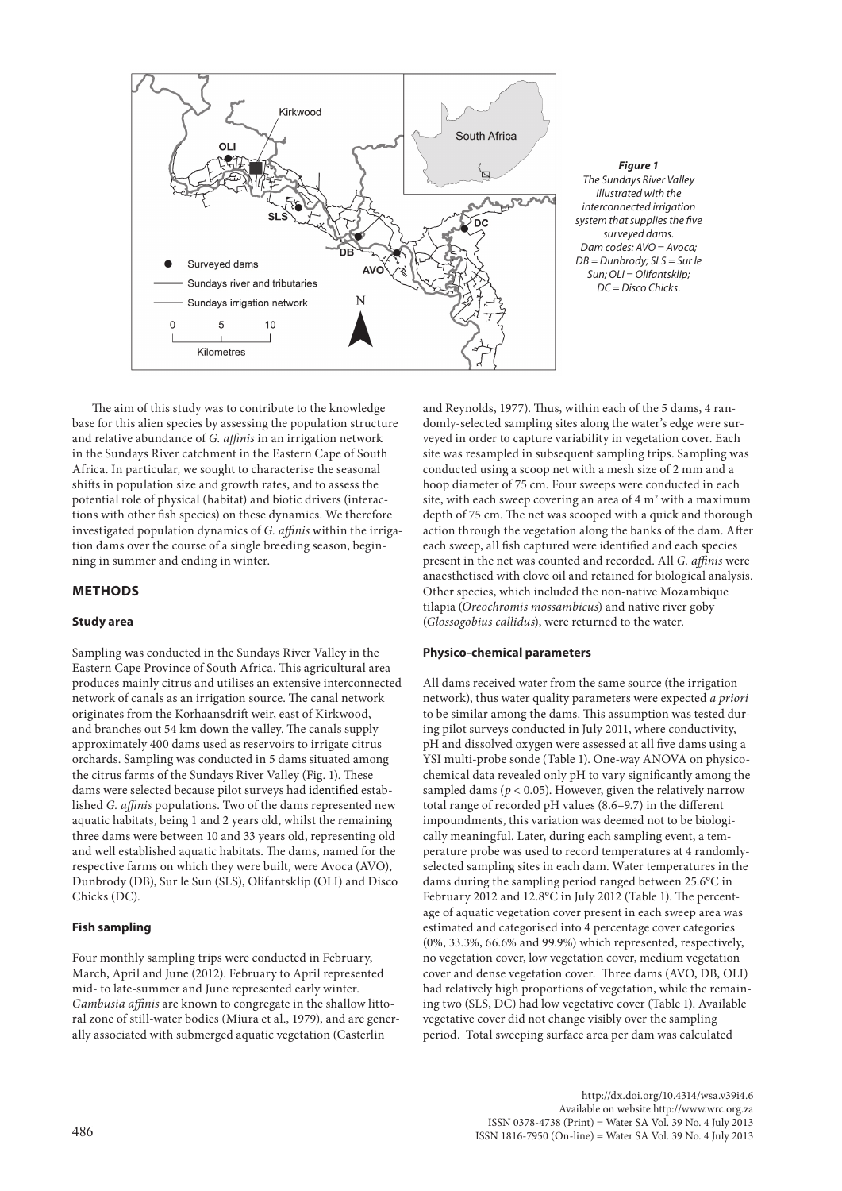

*Figure 1 The Sundays River Valley illustrated with the interconnected irrigation system that supplies the five surveyed dams. Dam codes: AVO = Avoca; DB = Dunbrody; SLS = Sur le Sun; OLI = Olifantsklip; DC = Disco Chicks.*

The aim of this study was to contribute to the knowledge base for this alien species by assessing the population structure and relative abundance of *G. affinis* in an irrigation network in the Sundays River catchment in the Eastern Cape of South Africa. In particular, we sought to characterise the seasonal shifts in population size and growth rates, and to assess the potential role of physical (habitat) and biotic drivers (interactions with other fish species) on these dynamics. We therefore investigated population dynamics of *G. affinis* within the irrigation dams over the course of a single breeding season, beginning in summer and ending in winter.

#### **METHODS**

#### **Study area**

Sampling was conducted in the Sundays River Valley in the Eastern Cape Province of South Africa. This agricultural area produces mainly citrus and utilises an extensive interconnected network of canals as an irrigation source. The canal network originates from the Korhaansdrift weir, east of Kirkwood, and branches out 54 km down the valley. The canals supply approximately 400 dams used as reservoirs to irrigate citrus orchards. Sampling was conducted in 5 dams situated among the citrus farms of the Sundays River Valley (Fig. 1). These dams were selected because pilot surveys had identified established *G. affinis* populations. Two of the dams represented new aquatic habitats, being 1 and 2 years old, whilst the remaining three dams were between 10 and 33 years old, representing old and well established aquatic habitats. The dams, named for the respective farms on which they were built, were Avoca (AVO), Dunbrody (DB), Sur le Sun (SLS), Olifantsklip (OLI) and Disco Chicks (DC).

#### **Fish sampling**

Four monthly sampling trips were conducted in February, March, April and June (2012). February to April represented mid- to late-summer and June represented early winter. *Gambusia affinis* are known to congregate in the shallow littoral zone of still-water bodies (Miura et al., 1979), and are generally associated with submerged aquatic vegetation (Casterlin

and Reynolds, 1977). Thus, within each of the 5 dams, 4 randomly-selected sampling sites along the water's edge were surveyed in order to capture variability in vegetation cover. Each site was resampled in subsequent sampling trips. Sampling was conducted using a scoop net with a mesh size of 2 mm and a hoop diameter of 75 cm. Four sweeps were conducted in each site, with each sweep covering an area of  $4 \text{ m}^2$  with a maximum depth of 75 cm. The net was scooped with a quick and thorough action through the vegetation along the banks of the dam. After each sweep, all fish captured were identified and each species present in the net was counted and recorded. All *G. affinis* were anaesthetised with clove oil and retained for biological analysis. Other species, which included the non-native Mozambique tilapia (*Oreochromis mossambicus*) and native river goby (*Glossogobius callidus*), were returned to the water.

#### **Physico-chemical parameters**

All dams received water from the same source (the irrigation network), thus water quality parameters were expected *a priori* to be similar among the dams. This assumption was tested during pilot surveys conducted in July 2011, where conductivity, pH and dissolved oxygen were assessed at all five dams using a YSI multi-probe sonde (Table 1). One-way ANOVA on physicochemical data revealed only pH to vary significantly among the sampled dams ( $p < 0.05$ ). However, given the relatively narrow total range of recorded pH values (8.6–9.7) in the different impoundments, this variation was deemed not to be biologically meaningful. Later, during each sampling event, a temperature probe was used to record temperatures at 4 randomlyselected sampling sites in each dam. Water temperatures in the dams during the sampling period ranged between 25.6°C in February 2012 and 12.8°C in July 2012 (Table 1). The percentage of aquatic vegetation cover present in each sweep area was estimated and categorised into 4 percentage cover categories (0%, 33.3%, 66.6% and 99.9%) which represented, respectively, no vegetation cover, low vegetation cover, medium vegetation cover and dense vegetation cover. Three dams (AVO, DB, OLI) had relatively high proportions of vegetation, while the remaining two (SLS, DC) had low vegetative cover (Table 1). Available vegetative cover did not change visibly over the sampling period. Total sweeping surface area per dam was calculated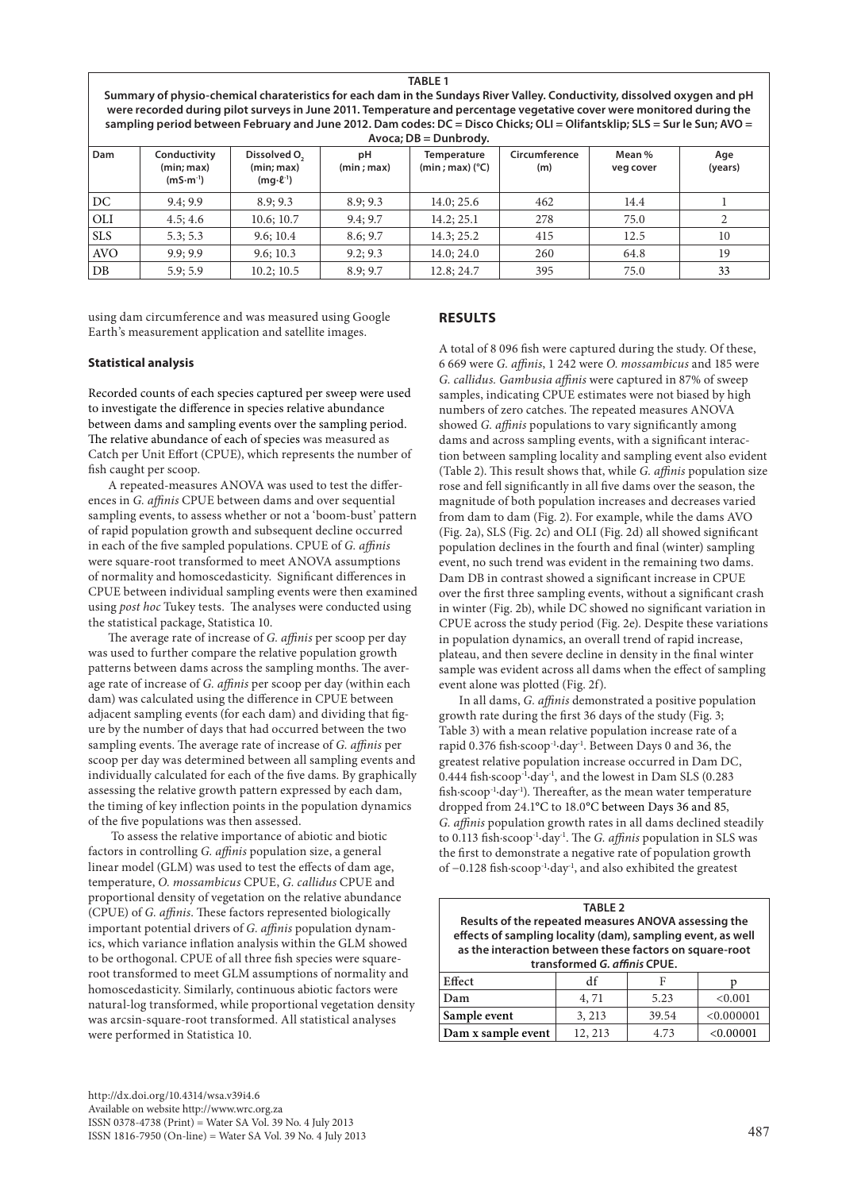**TABLE 1 Summary of physio-chemical charateristics for each dam in the Sundays River Valley. Conductivity, dissolved oxygen and pH were recorded during pilot surveys in June 2011. Temperature and percentage vegetative cover were monitored during the sampling period between February and June 2012. Dam codes: DC = Disco Chicks; OLI = Olifantsklip; SLS = Sur le Sun; AVO = Avoca; DB = Dunbrody.**

| Dam        | Conductivity<br>(min; max)<br>$(mS·m-1)$ | Dissolved O.<br>(min; max)<br>$(mq·l-1)$ | pH<br>(min;max) | <b>Temperature</b><br>$(min;max)$ (°C) | Circumference<br>(m) | Mean %<br>veg cover | Age<br>(years) |
|------------|------------------------------------------|------------------------------------------|-----------------|----------------------------------------|----------------------|---------------------|----------------|
| DC         | 9.4:9.9                                  | 8.9:9.3                                  | 8.9:9.3         | 14.0; 25.6                             | 462                  | 14.4                |                |
| OLI        | 4.5:4.6                                  | 10.6:10.7                                | 9.4:9.7         | 14.2:25.1                              | 278                  | 75.0                |                |
| <b>SLS</b> | 5.3:5.3                                  | 9.6; 10.4                                | 8.6; 9.7        | 14.3; 25.2                             | 415                  | 12.5                | 10             |
| <b>AVO</b> | 9.9:9.9                                  | 9.6; 10.3                                | 9.2:9.3         | 14.0:24.0                              | 260                  | 64.8                | 19             |
| $DB$       | 5.9:5.9                                  | 10.2; 10.5                               | 8.9:9.7         | 12.8; 24.7                             | 395                  | 75.0                | 33             |

using dam circumference and was measured using Google Earth's measurement application and satellite images.

### **Statistical analysis**

Recorded counts of each species captured per sweep were used to investigate the difference in species relative abundance between dams and sampling events over the sampling period. The relative abundance of each of species was measured as Catch per Unit Effort (CPUE), which represents the number of fish caught per scoop.

A repeated-measures ANOVA was used to test the differences in *G. affinis* CPUE between dams and over sequential sampling events, to assess whether or not a 'boom-bust' pattern of rapid population growth and subsequent decline occurred in each of the five sampled populations. CPUE of *G. affinis* were square-root transformed to meet ANOVA assumptions of normality and homoscedasticity. Significant differences in CPUE between individual sampling events were then examined using *post hoc* Tukey tests. The analyses were conducted using the statistical package, Statistica 10.

The average rate of increase of *G. affinis* per scoop per day was used to further compare the relative population growth patterns between dams across the sampling months. The average rate of increase of *G. affinis* per scoop per day (within each dam) was calculated using the difference in CPUE between adjacent sampling events (for each dam) and dividing that figure by the number of days that had occurred between the two sampling events. The average rate of increase of *G. affinis* per scoop per day was determined between all sampling events and individually calculated for each of the five dams. By graphically assessing the relative growth pattern expressed by each dam, the timing of key inflection points in the population dynamics of the five populations was then assessed.

 To assess the relative importance of abiotic and biotic factors in controlling *G. affinis* population size, a general linear model (GLM) was used to test the effects of dam age, temperature, *O. mossambicus* CPUE, *G. callidus* CPUE and proportional density of vegetation on the relative abundance (CPUE) of *G. affinis*. These factors represented biologically important potential drivers of *G. affinis* population dynamics, which variance inflation analysis within the GLM showed to be orthogonal. CPUE of all three fish species were squareroot transformed to meet GLM assumptions of normality and homoscedasticity. Similarly, continuous abiotic factors were natural-log transformed, while proportional vegetation density was arcsin-square-root transformed. All statistical analyses were performed in Statistica 10.

#### http://dx.doi.org/10.4314/wsa.v39i4.6 Available on website http://www.wrc.org.za ISSN 0378-4738 (Print) = Water SA Vol. 39 No. 4 July 2013 ISSN 1816-7950 (On-line) = Water SA Vol. 39 No. 4 July 2013 487

# **RESULTS**

A total of 8 096 fish were captured during the study. Of these, 6 669 were *G. affinis*, 1 242 were *O. mossambicus* and 185 were *G. callidus. Gambusia affinis* were captured in 87% of sweep samples, indicating CPUE estimates were not biased by high numbers of zero catches. The repeated measures ANOVA showed *G. affinis* populations to vary significantly among dams and across sampling events, with a significant interaction between sampling locality and sampling event also evident (Table 2). This result shows that, while *G. affinis* population size rose and fell significantly in all five dams over the season, the magnitude of both population increases and decreases varied from dam to dam (Fig. 2). For example, while the dams AVO (Fig. 2a), SLS (Fig. 2c) and OLI (Fig. 2d) all showed significant population declines in the fourth and final (winter) sampling event, no such trend was evident in the remaining two dams. Dam DB in contrast showed a significant increase in CPUE over the first three sampling events, without a significant crash in winter (Fig. 2b), while DC showed no significant variation in CPUE across the study period (Fig. 2e). Despite these variations in population dynamics, an overall trend of rapid increase, plateau, and then severe decline in density in the final winter sample was evident across all dams when the effect of sampling event alone was plotted (Fig. 2f).

In all dams, *G. affinis* demonstrated a positive population growth rate during the first 36 days of the study (Fig. 3; Table 3) with a mean relative population increase rate of a rapid 0.376 fish∙scoop-1∙day-1. Between Days 0 and 36, the greatest relative population increase occurred in Dam DC, 0.444 fish∙scoop-1∙day-1, and the lowest in Dam SLS (0.283 fish∙scoop-1∙day-1). Thereafter, as the mean water temperature dropped from 24.1°C to 18.0°C between Days 36 and 85, *G. affinis* population growth rates in all dams declined steadily to 0.113 fish∙scoop-1∙day-1. The *G. affinis* population in SLS was the first to demonstrate a negative rate of population growth of −0.128 fish∙scoop-1∙day-1, and also exhibited the greatest

| <b>TABLE 2</b>                                              |         |       |            |  |  |  |
|-------------------------------------------------------------|---------|-------|------------|--|--|--|
| Results of the repeated measures ANOVA assessing the        |         |       |            |  |  |  |
| effects of sampling locality (dam), sampling event, as well |         |       |            |  |  |  |
| as the interaction between these factors on square-root     |         |       |            |  |  |  |
| transformed G. affinis CPUE.                                |         |       |            |  |  |  |
| Effect                                                      | df      | F     |            |  |  |  |
| Dam                                                         | 4,71    | 5.23  | < 0.001    |  |  |  |
| Sample event                                                | 3, 213  | 39.54 | < 0.000001 |  |  |  |
| Dam x sample event                                          | 12, 213 | 4.73  | < 0.00001  |  |  |  |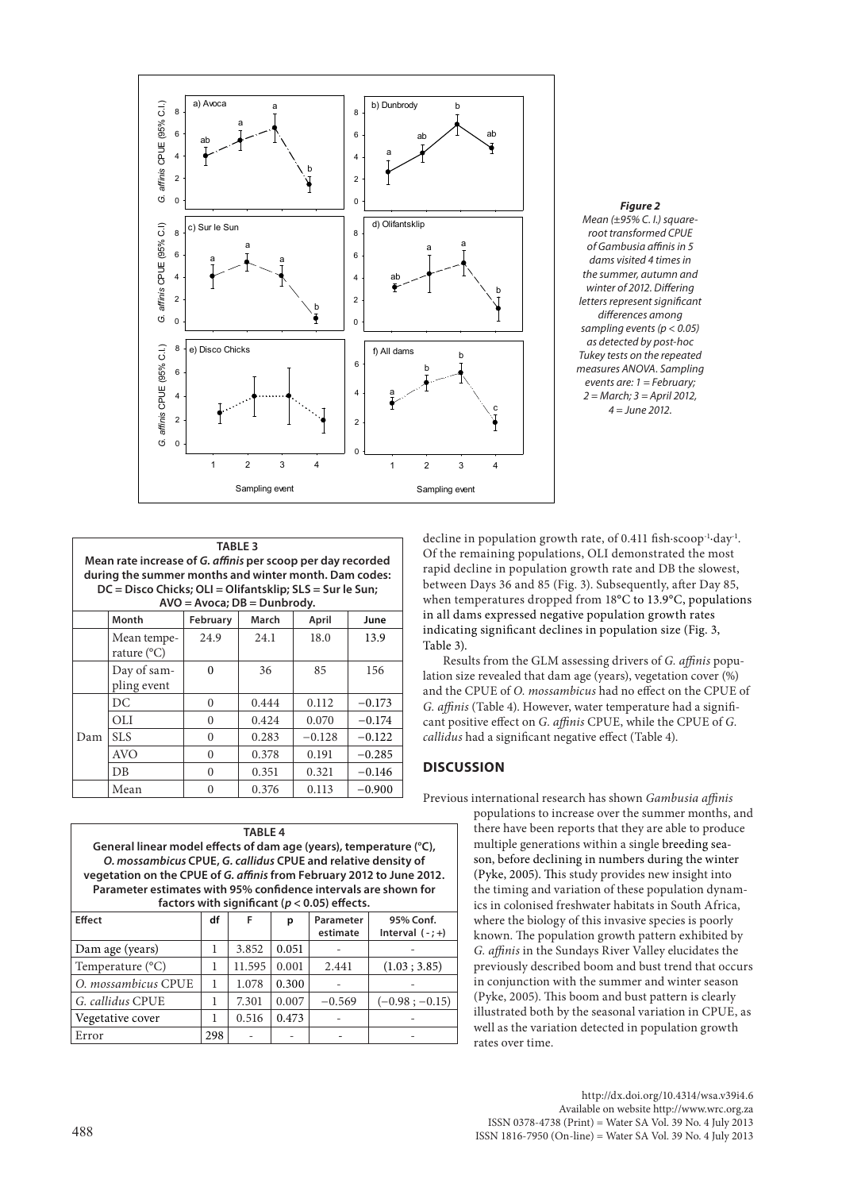



| IABLE 3<br>Mean rate increase of G. affinis per scoop per day recorded<br>during the summer months and winter month. Dam codes:<br>DC = Disco Chicks; OLI = Olifantsklip; SLS = Sur le Sun;<br>$AVO = Avoca$ ; $DB = Dunbrody$ . |                                     |          |       |          |          |  |  |
|----------------------------------------------------------------------------------------------------------------------------------------------------------------------------------------------------------------------------------|-------------------------------------|----------|-------|----------|----------|--|--|
|                                                                                                                                                                                                                                  | Month                               | February | March | April    | June     |  |  |
|                                                                                                                                                                                                                                  | Mean tempe-<br>rature $(^{\circ}C)$ | 24.9     | 24.1  | 18.0     | 13.9     |  |  |
|                                                                                                                                                                                                                                  | Day of sam-<br>pling event          | $\Omega$ | 36    | 85       | 156      |  |  |
|                                                                                                                                                                                                                                  | DС                                  | $\Omega$ | 0.444 | 0.112    | $-0.173$ |  |  |
|                                                                                                                                                                                                                                  | OLI                                 | $\Omega$ | 0.424 | 0.070    | $-0.174$ |  |  |
| Dam                                                                                                                                                                                                                              | <b>SLS</b>                          | $\Omega$ | 0.283 | $-0.128$ | $-0.122$ |  |  |
|                                                                                                                                                                                                                                  | AVO                                 | $\Omega$ | 0.378 | 0.191    | $-0.285$ |  |  |
|                                                                                                                                                                                                                                  | DB                                  | $\Omega$ | 0.351 | 0.321    | $-0.146$ |  |  |
|                                                                                                                                                                                                                                  | Mean                                | 0        | 0.376 | 0.113    | $-0.900$ |  |  |

**TABLE 3**

| <b>TABLE 4</b><br>General linear model effects of dam age (years), temperature (°C),<br>O. mossambicus CPUE, G. callidus CPUE and relative density of<br>vegetation on the CPUE of G. affinis from February 2012 to June 2012.<br>Parameter estimates with 95% confidence intervals are shown for<br>factors with significant ( $p < 0.05$ ) effects. |     |        |       |                       |                               |  |
|-------------------------------------------------------------------------------------------------------------------------------------------------------------------------------------------------------------------------------------------------------------------------------------------------------------------------------------------------------|-----|--------|-------|-----------------------|-------------------------------|--|
| Effect                                                                                                                                                                                                                                                                                                                                                | df  | F      | D     | Parameter<br>estimate | 95% Conf.<br>Interval $(-;+)$ |  |
| Dam age (years)                                                                                                                                                                                                                                                                                                                                       | 1   | 3.852  | 0.051 |                       |                               |  |
| Temperature (°C)                                                                                                                                                                                                                                                                                                                                      | 1   | 11.595 | 0.001 | 2.441                 | (1.03; 3.85)                  |  |
| O. mossambicus CPUE                                                                                                                                                                                                                                                                                                                                   | 1   | 1.078  | 0.300 |                       |                               |  |
| G. callidus CPUE                                                                                                                                                                                                                                                                                                                                      | 1   | 7.301  | 0.007 | $-0.569$              | $(-0.98:-0.15)$               |  |
| Vegetative cover                                                                                                                                                                                                                                                                                                                                      | 1   | 0.516  | 0.473 |                       |                               |  |
| Error                                                                                                                                                                                                                                                                                                                                                 | 298 |        |       |                       |                               |  |

decline in population growth rate, of 0.411 fish∙scoop-1∙day-1. Of the remaining populations, OLI demonstrated the most rapid decline in population growth rate and DB the slowest, between Days 36 and 85 (Fig. 3). Subsequently, after Day 85, when temperatures dropped from 18°C to 13.9°C, populations in all dams expressed negative population growth rates indicating significant declines in population size (Fig. 3, Table 3).

Results from the GLM assessing drivers of *G. affinis* population size revealed that dam age (years), vegetation cover (%) and the CPUE of *O. mossambicus* had no effect on the CPUE of *G. affinis* (Table 4). However, water temperature had a significant positive effect on *G. affinis* CPUE, while the CPUE of *G. callidus* had a significant negative effect (Table 4).

# **DISCUSSION**

Previous international research has shown *Gambusia affinis*

populations to increase over the summer months, and there have been reports that they are able to produce multiple generations within a single breeding season, before declining in numbers during the winter (Pyke, 2005). This study provides new insight into the timing and variation of these population dynamics in colonised freshwater habitats in South Africa, where the biology of this invasive species is poorly known. The population growth pattern exhibited by *G. affinis* in the Sundays River Valley elucidates the previously described boom and bust trend that occurs in conjunction with the summer and winter season (Pyke, 2005). This boom and bust pattern is clearly illustrated both by the seasonal variation in CPUE, as well as the variation detected in population growth rates over time.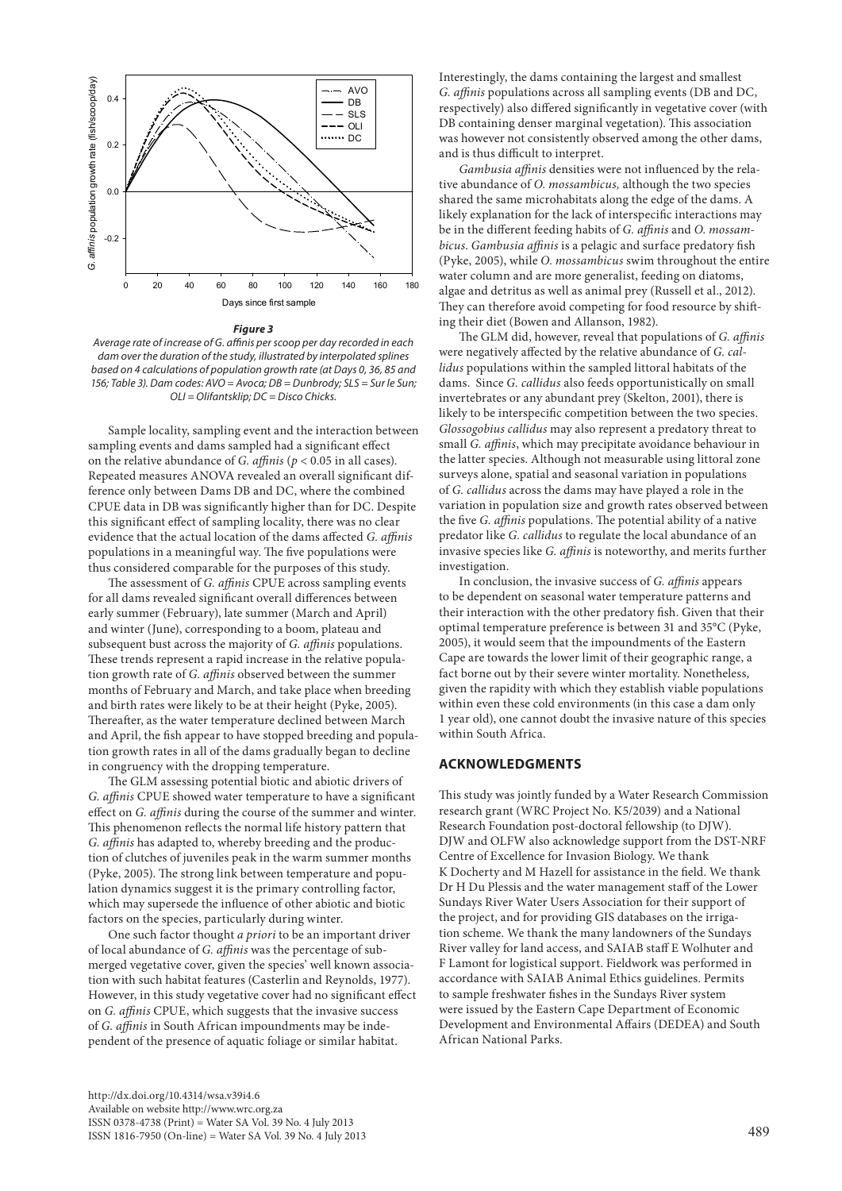

#### *Figure 3*

*Average rate of increase of G. affinis per scoop per day recorded in each dam over the duration of the study, illustrated by interpolated splines based on 4 calculations of population growth rate (at Days 0, 36, 85 and 156; Table 3). Dam codes: AVO = Avoca; DB = Dunbrody; SLS = Sur le Sun; OLI = Olifantsklip; DC = Disco Chicks.*

Sample locality, sampling event and the interaction between sampling events and dams sampled had a significant effect on the relative abundance of *G. affinis* (*p* < 0.05 in all cases). Repeated measures ANOVA revealed an overall significant difference only between Dams DB and DC, where the combined CPUE data in DB was significantly higher than for DC. Despite this significant effect of sampling locality, there was no clear evidence that the actual location of the dams affected *G. affinis* populations in a meaningful way. The five populations were thus considered comparable for the purposes of this study.

The assessment of *G. affinis* CPUE across sampling events for all dams revealed significant overall differences between early summer (February), late summer (March and April) and winter (June), corresponding to a boom, plateau and subsequent bust across the majority of *G. affinis* populations. These trends represent a rapid increase in the relative population growth rate of *G. affinis* observed between the summer months of February and March, and take place when breeding and birth rates were likely to be at their height (Pyke, 2005). Thereafter, as the water temperature declined between March and April, the fish appear to have stopped breeding and population growth rates in all of the dams gradually began to decline in congruency with the dropping temperature.

The GLM assessing potential biotic and abiotic drivers of *G. affinis* CPUE showed water temperature to have a significant effect on *G. affinis* during the course of the summer and winter. This phenomenon reflects the normal life history pattern that *G. affinis* has adapted to, whereby breeding and the production of clutches of juveniles peak in the warm summer months (Pyke, 2005). The strong link between temperature and population dynamics suggest it is the primary controlling factor, which may supersede the influence of other abiotic and biotic factors on the species, particularly during winter.

One such factor thought *a priori* to be an important driver of local abundance of *G. affinis* was the percentage of submerged vegetative cover, given the species' well known association with such habitat features (Casterlin and Reynolds, 1977). However, in this study vegetative cover had no significant effect on *G. affinis* CPUE, which suggests that the invasive success of *G. affinis* in South African impoundments may be independent of the presence of aquatic foliage or similar habitat.

Interestingly, the dams containing the largest and smallest *G. affinis* populations across all sampling events (DB and DC, respectively) also differed significantly in vegetative cover (with DB containing denser marginal vegetation). This association was however not consistently observed among the other dams, and is thus difficult to interpret.

*Gambusia affinis* densities were not influenced by the relative abundance of *O. mossambicus,* although the two species shared the same microhabitats along the edge of the dams. A likely explanation for the lack of interspecific interactions may be in the different feeding habits of *G. affinis* and *O. mossambicus*. *Gambusia affinis* is a pelagic and surface predatory fish (Pyke, 2005), while *O. mossambicus* swim throughout the entire water column and are more generalist, feeding on diatoms, algae and detritus as well as animal prey (Russell et al., 2012). They can therefore avoid competing for food resource by shifting their diet (Bowen and Allanson, 1982).

The GLM did, however, reveal that populations of *G. affinis* were negatively affected by the relative abundance of *G. callidus* populations within the sampled littoral habitats of the dams. Since *G. callidus* also feeds opportunistically on small invertebrates or any abundant prey (Skelton, 2001), there is likely to be interspecific competition between the two species. *Glossogobius callidus* may also represent a predatory threat to small *G. affinis*, which may precipitate avoidance behaviour in the latter species. Although not measurable using littoral zone surveys alone, spatial and seasonal variation in populations of *G. callidus* across the dams may have played a role in the variation in population size and growth rates observed between the five *G. affinis* populations. The potential ability of a native predator like *G. callidus* to regulate the local abundance of an invasive species like *G. affinis* is noteworthy, and merits further investigation.

In conclusion, the invasive success of *G. affinis* appears to be dependent on seasonal water temperature patterns and their interaction with the other predatory fish. Given that their optimal temperature preference is between 31 and 35°C (Pyke, 2005), it would seem that the impoundments of the Eastern Cape are towards the lower limit of their geographic range, a fact borne out by their severe winter mortality. Nonetheless, given the rapidity with which they establish viable populations within even these cold environments (in this case a dam only 1 year old), one cannot doubt the invasive nature of this species within South Africa.

# **ACKNOWLEDGMENTS**

This study was jointly funded by a Water Research Commission research grant (WRC Project No. K5/2039) and a National Research Foundation post-doctoral fellowship (to DJW). DJW and OLFW also acknowledge support from the DST-NRF Centre of Excellence for Invasion Biology. We thank K Docherty and M Hazell for assistance in the field. We thank Dr H Du Plessis and the water management staff of the Lower Sundays River Water Users Association for their support of the project, and for providing GIS databases on the irrigation scheme. We thank the many landowners of the Sundays River valley for land access, and SAIAB staff E Wolhuter and F Lamont for logistical support. Fieldwork was performed in accordance with SAIAB Animal Ethics guidelines. Permits to sample freshwater fishes in the Sundays River system were issued by the Eastern Cape Department of Economic Development and Environmental Affairs (DEDEA) and South African National Parks.